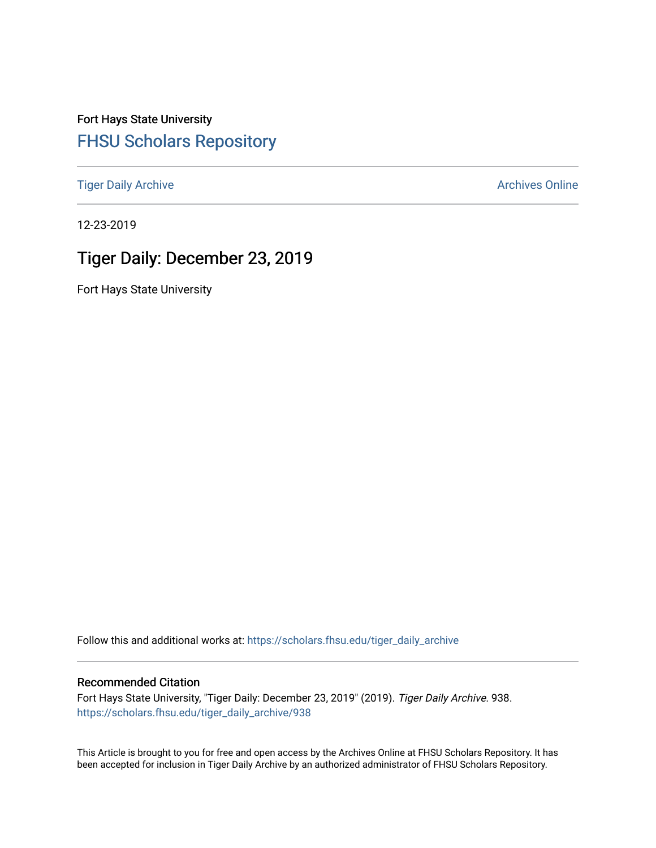Fort Hays State University [FHSU Scholars Repository](https://scholars.fhsu.edu/) 

[Tiger Daily Archive](https://scholars.fhsu.edu/tiger_daily_archive) **Archives** Online Archives Online

12-23-2019

# Tiger Daily: December 23, 2019

Fort Hays State University

Follow this and additional works at: [https://scholars.fhsu.edu/tiger\\_daily\\_archive](https://scholars.fhsu.edu/tiger_daily_archive?utm_source=scholars.fhsu.edu%2Ftiger_daily_archive%2F938&utm_medium=PDF&utm_campaign=PDFCoverPages)

### Recommended Citation

Fort Hays State University, "Tiger Daily: December 23, 2019" (2019). Tiger Daily Archive. 938. [https://scholars.fhsu.edu/tiger\\_daily\\_archive/938](https://scholars.fhsu.edu/tiger_daily_archive/938?utm_source=scholars.fhsu.edu%2Ftiger_daily_archive%2F938&utm_medium=PDF&utm_campaign=PDFCoverPages)

This Article is brought to you for free and open access by the Archives Online at FHSU Scholars Repository. It has been accepted for inclusion in Tiger Daily Archive by an authorized administrator of FHSU Scholars Repository.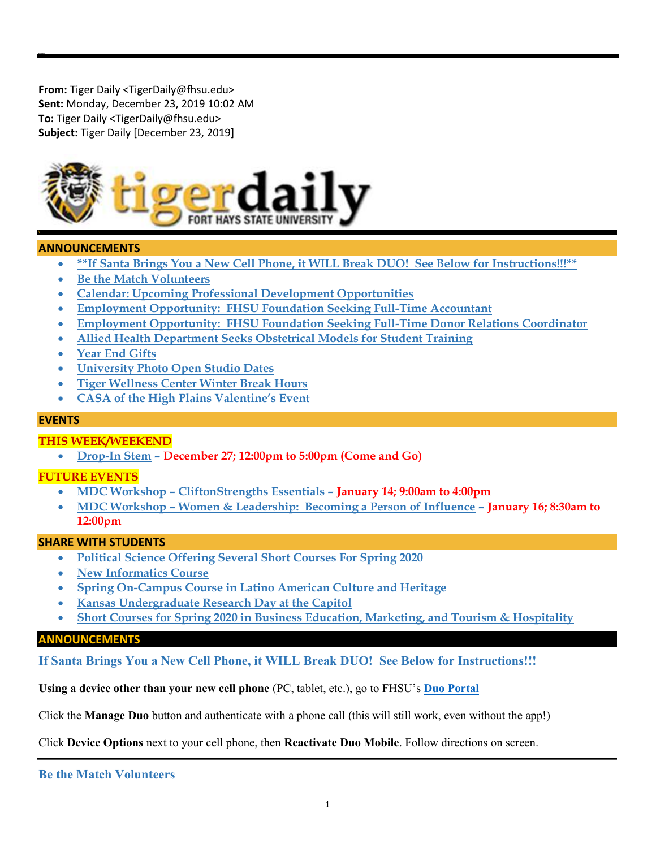From: Tiger Daily <TigerDaily@fhsu.edu> Sent: Monday, December 23, 2019 10:02 AM To: Tiger Daily <TigerDaily@fhsu.edu> Subject: Tiger Daily [December 23, 2019]



### ANNOUNCEMENTS

- \*\*If Santa Brings You a New Cell Phone, it WILL Break DUO! See Below for Instructions!!!\*\*
- Be the Match Volunteers
- Calendar: Upcoming Professional Development Opportunities
- Employment Opportunity: FHSU Foundation Seeking Full-Time Accountant
- Employment Opportunity: FHSU Foundation Seeking Full-Time Donor Relations Coordinator
- Allied Health Department Seeks Obstetrical Models for Student Training
- Year End Gifts
- University Photo Open Studio Dates
- Tiger Wellness Center Winter Break Hours
- CASA of the High Plains Valentine's Event

### **EVENTS**

### THIS WEEK/WEEKEND

Drop-In Stem – December 27; 12:00pm to 5:00pm (Come and Go)

### FUTURE EVENTS

- MDC Workshop CliftonStrengths Essentials January 14; 9:00am to 4:00pm
- MDC Workshop Women & Leadership: Becoming a Person of Influence January 16; 8:30am to 12:00pm

### SHARE WITH STUDENTS

- Political Science Offering Several Short Courses For Spring 2020
- New Informatics Course
- Spring On-Campus Course in Latino American Culture and Heritage
- Kansas Undergraduate Research Day at the Capitol
- Short Courses for Spring 2020 in Business Education, Marketing, and Tourism & Hospitality

### ANNOUNCEMENTS

If Santa Brings You a New Cell Phone, it WILL Break DUO! See Below for Instructions!!!

Using a device other than your new cell phone (PC, tablet, etc.), go to FHSU's Duo Portal

Click the Manage Duo button and authenticate with a phone call (this will still work, even without the app!)

Click Device Options next to your cell phone, then Reactivate Duo Mobile. Follow directions on screen.

Be the Match Volunteers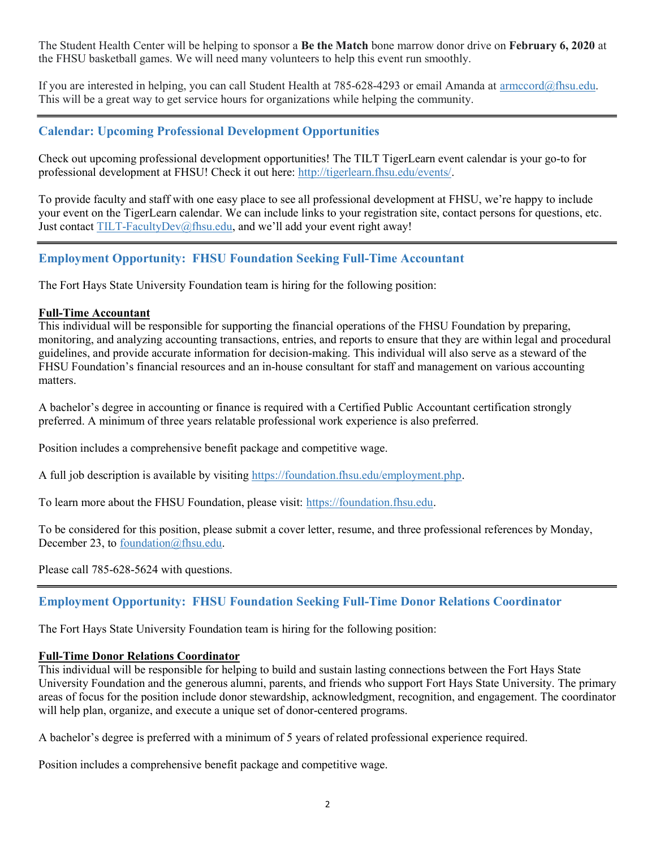The Student Health Center will be helping to sponsor a **Be the Match** bone marrow donor drive on **February 6, 2020** at the FHSU basketball games. We will need many volunteers to help this event run smoothly.

If you are interested in helping, you can call Student Health at 785-628-4293 or email Amanda at armccord@fhsu.edu. This will be a great way to get service hours for organizations while helping the community.

# Calendar: Upcoming Professional Development Opportunities

Check out upcoming professional development opportunities! The TILT TigerLearn event calendar is your go-to for professional development at FHSU! Check it out here: http://tigerlearn.fhsu.edu/events/.

To provide faculty and staff with one easy place to see all professional development at FHSU, we're happy to include your event on the TigerLearn calendar. We can include links to your registration site, contact persons for questions, etc. Just contact TILT-FacultyDev@fhsu.edu, and we'll add your event right away!

# Employment Opportunity: FHSU Foundation Seeking Full-Time Accountant

The Fort Hays State University Foundation team is hiring for the following position:

### Full-Time Accountant

This individual will be responsible for supporting the financial operations of the FHSU Foundation by preparing, monitoring, and analyzing accounting transactions, entries, and reports to ensure that they are within legal and procedural guidelines, and provide accurate information for decision-making. This individual will also serve as a steward of the FHSU Foundation's financial resources and an in-house consultant for staff and management on various accounting matters.

A bachelor's degree in accounting or finance is required with a Certified Public Accountant certification strongly preferred. A minimum of three years relatable professional work experience is also preferred.

Position includes a comprehensive benefit package and competitive wage.

A full job description is available by visiting https://foundation.fhsu.edu/employment.php.

To learn more about the FHSU Foundation, please visit: https://foundation.fhsu.edu.

To be considered for this position, please submit a cover letter, resume, and three professional references by Monday, December 23, to foundation@fhsu.edu.

Please call 785-628-5624 with questions.

# Employment Opportunity: FHSU Foundation Seeking Full-Time Donor Relations Coordinator

The Fort Hays State University Foundation team is hiring for the following position:

## Full-Time Donor Relations Coordinator

This individual will be responsible for helping to build and sustain lasting connections between the Fort Hays State University Foundation and the generous alumni, parents, and friends who support Fort Hays State University. The primary areas of focus for the position include donor stewardship, acknowledgment, recognition, and engagement. The coordinator will help plan, organize, and execute a unique set of donor-centered programs.

A bachelor's degree is preferred with a minimum of 5 years of related professional experience required.

Position includes a comprehensive benefit package and competitive wage.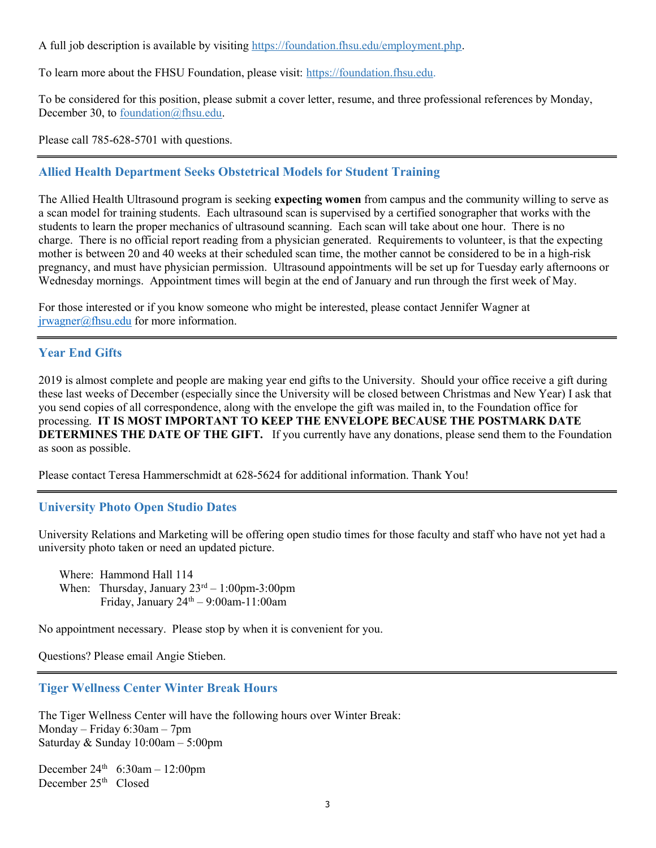A full job description is available by visiting https://foundation.fhsu.edu/employment.php.

To learn more about the FHSU Foundation, please visit: https://foundation.fhsu.edu.

To be considered for this position, please submit a cover letter, resume, and three professional references by Monday, December 30, to foundation@fhsu.edu.

Please call 785-628-5701 with questions.

# Allied Health Department Seeks Obstetrical Models for Student Training

The Allied Health Ultrasound program is seeking **expecting women** from campus and the community willing to serve as a scan model for training students. Each ultrasound scan is supervised by a certified sonographer that works with the students to learn the proper mechanics of ultrasound scanning. Each scan will take about one hour. There is no charge. There is no official report reading from a physician generated. Requirements to volunteer, is that the expecting mother is between 20 and 40 weeks at their scheduled scan time, the mother cannot be considered to be in a high-risk pregnancy, and must have physician permission. Ultrasound appointments will be set up for Tuesday early afternoons or Wednesday mornings. Appointment times will begin at the end of January and run through the first week of May.

For those interested or if you know someone who might be interested, please contact Jennifer Wagner at jrwagner@fhsu.edu for more information.

# Year End Gifts

2019 is almost complete and people are making year end gifts to the University. Should your office receive a gift during these last weeks of December (especially since the University will be closed between Christmas and New Year) I ask that you send copies of all correspondence, along with the envelope the gift was mailed in, to the Foundation office for processing. IT IS MOST IMPORTANT TO KEEP THE ENVELOPE BECAUSE THE POSTMARK DATE DETERMINES THE DATE OF THE GIFT. If you currently have any donations, please send them to the Foundation as soon as possible.

Please contact Teresa Hammerschmidt at 628-5624 for additional information. Thank You!

# University Photo Open Studio Dates

University Relations and Marketing will be offering open studio times for those faculty and staff who have not yet had a university photo taken or need an updated picture.

 Where: Hammond Hall 114 When: Thursday, January  $23^{rd} - 1:00$ pm-3:00pm Friday, January  $24<sup>th</sup> - 9:00$ am-11:00am

No appointment necessary. Please stop by when it is convenient for you.

Questions? Please email Angie Stieben.

## Tiger Wellness Center Winter Break Hours

The Tiger Wellness Center will have the following hours over Winter Break: Monday – Friday 6:30am – 7pm Saturday & Sunday 10:00am – 5:00pm

December  $24^{th}$  6:30am - 12:00pm December  $25<sup>th</sup>$  Closed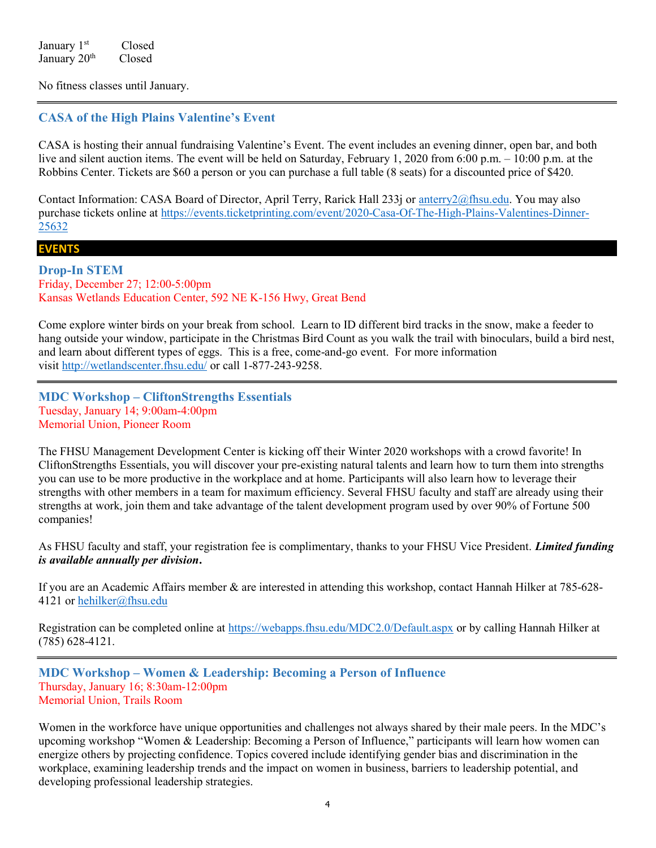January 1<sup>st</sup> Closed January 20<sup>th</sup> Closed

No fitness classes until January.

# CASA of the High Plains Valentine's Event

CASA is hosting their annual fundraising Valentine's Event. The event includes an evening dinner, open bar, and both live and silent auction items. The event will be held on Saturday, February 1, 2020 from 6:00 p.m. – 10:00 p.m. at the Robbins Center. Tickets are \$60 a person or you can purchase a full table (8 seats) for a discounted price of \$420.

Contact Information: CASA Board of Director, April Terry, Rarick Hall 233j or anterry2@fhsu.edu. You may also purchase tickets online at https://events.ticketprinting.com/event/2020-Casa-Of-The-High-Plains-Valentines-Dinner-25632

### EVENTS

Drop-In STEM Friday, December 27; 12:00-5:00pm Kansas Wetlands Education Center, 592 NE K-156 Hwy, Great Bend

Come explore winter birds on your break from school. Learn to ID different bird tracks in the snow, make a feeder to hang outside your window, participate in the Christmas Bird Count as you walk the trail with binoculars, build a bird nest, and learn about different types of eggs. This is a free, come-and-go event. For more information visit http://wetlandscenter.fhsu.edu/ or call 1-877-243-9258.

MDC Workshop – CliftonStrengths Essentials Tuesday, January 14; 9:00am-4:00pm Memorial Union, Pioneer Room

The FHSU Management Development Center is kicking off their Winter 2020 workshops with a crowd favorite! In CliftonStrengths Essentials, you will discover your pre-existing natural talents and learn how to turn them into strengths you can use to be more productive in the workplace and at home. Participants will also learn how to leverage their strengths with other members in a team for maximum efficiency. Several FHSU faculty and staff are already using their strengths at work, join them and take advantage of the talent development program used by over 90% of Fortune 500 companies!

As FHSU faculty and staff, your registration fee is complimentary, thanks to your FHSU Vice President. Limited funding is available annually per division.

If you are an Academic Affairs member & are interested in attending this workshop, contact Hannah Hilker at 785-628- 4121 or hehilker@fhsu.edu

Registration can be completed online at https://webapps.fhsu.edu/MDC2.0/Default.aspx or by calling Hannah Hilker at (785) 628-4121.

MDC Workshop – Women & Leadership: Becoming a Person of Influence Thursday, January 16; 8:30am-12:00pm Memorial Union, Trails Room

Women in the workforce have unique opportunities and challenges not always shared by their male peers. In the MDC's upcoming workshop "Women & Leadership: Becoming a Person of Influence," participants will learn how women can energize others by projecting confidence. Topics covered include identifying gender bias and discrimination in the workplace, examining leadership trends and the impact on women in business, barriers to leadership potential, and developing professional leadership strategies.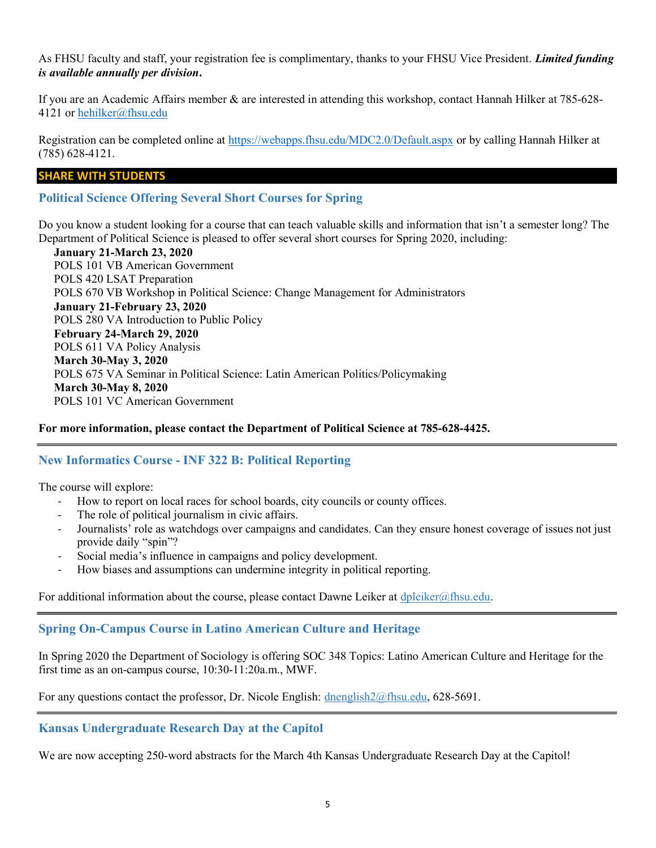As FHSU faculty and staff, your registration fee is complimentary, thanks to your FHSU Vice President. Limited funding is available annually per division.

If you are an Academic Affairs member & are interested in attending this workshop, contact Hannah Hilker at 785-628- 4121 or hehilker@fhsu.edu

Registration can be completed online at https://webapps.fhsu.edu/MDC2.0/Default.aspx or by calling Hannah Hilker at (785) 628-4121.

### SHARE WITH STUDENTS

Political Science Offering Several Short Courses for Spring

Do you know a student looking for a course that can teach valuable skills and information that isn't a semester long? The Department of Political Science is pleased to offer several short courses for Spring 2020, including:

January 21-March 23, 2020 POLS 101 VB American Government POLS 420 LSAT Preparation POLS 670 VB Workshop in Political Science: Change Management for Administrators January 21-February 23, 2020 POLS 280 VA Introduction to Public Policy February 24-March 29, 2020 POLS 611 VA Policy Analysis March 30-May 3, 2020 POLS 675 VA Seminar in Political Science: Latin American Politics/Policymaking March 30-May 8, 2020 POLS 101 VC American Government

### For more information, please contact the Department of Political Science at 785-628-4425.

## New Informatics Course - INF 322 B: Political Reporting

The course will explore:

- How to report on local races for school boards, city councils or county offices.
- The role of political journalism in civic affairs.
- Journalists' role as watchdogs over campaigns and candidates. Can they ensure honest coverage of issues not just provide daily "spin"?
- Social media's influence in campaigns and policy development.
- How biases and assumptions can undermine integrity in political reporting.

For additional information about the course, please contact Dawne Leiker at dpleiker@fhsu.edu.

## Spring On-Campus Course in Latino American Culture and Heritage

In Spring 2020 the Department of Sociology is offering SOC 348 Topics: Latino American Culture and Heritage for the first time as an on-campus course, 10:30-11:20a.m., MWF.

For any questions contact the professor, Dr. Nicole English: dnenglish2@fhsu.edu, 628-5691.

### Kansas Undergraduate Research Day at the Capitol

We are now accepting 250-word abstracts for the March 4th Kansas Undergraduate Research Day at the Capitol!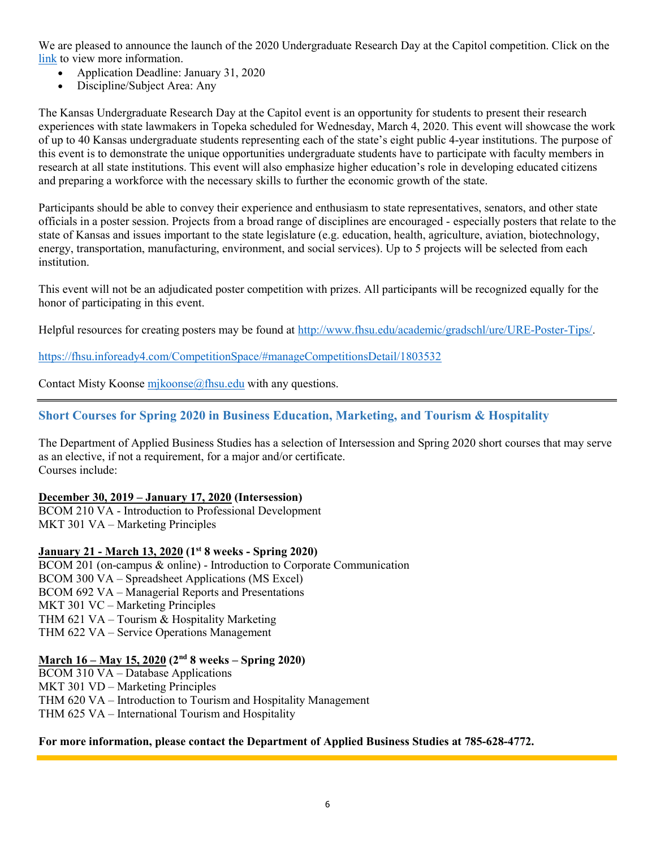We are pleased to announce the launch of the 2020 Undergraduate Research Day at the Capitol competition. Click on the link to view more information.

- Application Deadline: January 31, 2020
- Discipline/Subject Area: Any

The Kansas Undergraduate Research Day at the Capitol event is an opportunity for students to present their research experiences with state lawmakers in Topeka scheduled for Wednesday, March 4, 2020. This event will showcase the work of up to 40 Kansas undergraduate students representing each of the state's eight public 4-year institutions. The purpose of this event is to demonstrate the unique opportunities undergraduate students have to participate with faculty members in research at all state institutions. This event will also emphasize higher education's role in developing educated citizens and preparing a workforce with the necessary skills to further the economic growth of the state.

Participants should be able to convey their experience and enthusiasm to state representatives, senators, and other state officials in a poster session. Projects from a broad range of disciplines are encouraged - especially posters that relate to the state of Kansas and issues important to the state legislature (e.g. education, health, agriculture, aviation, biotechnology, energy, transportation, manufacturing, environment, and social services). Up to 5 projects will be selected from each institution.

This event will not be an adjudicated poster competition with prizes. All participants will be recognized equally for the honor of participating in this event.

Helpful resources for creating posters may be found at http://www.fhsu.edu/academic/gradschl/ure/URE-Poster-Tips/.

https://fhsu.infoready4.com/CompetitionSpace/#manageCompetitionsDetail/1803532

Contact Misty Koonse mjkoonse@fhsu.edu with any questions.

## Short Courses for Spring 2020 in Business Education, Marketing, and Tourism & Hospitality

The Department of Applied Business Studies has a selection of Intersession and Spring 2020 short courses that may serve as an elective, if not a requirement, for a major and/or certificate. Courses include:

### December 30, 2019 – January 17, 2020 (Intersession)

BCOM 210 VA - Introduction to Professional Development MKT 301 VA – Marketing Principles

### January 21 - March 13, 2020 (1st 8 weeks - Spring 2020)

BCOM 201 (on-campus & online) - Introduction to Corporate Communication BCOM 300 VA – Spreadsheet Applications (MS Excel) BCOM 692 VA – Managerial Reports and Presentations MKT 301 VC – Marketing Principles THM 621 VA – Tourism & Hospitality Marketing THM 622 VA – Service Operations Management

### March 16 – May 15, 2020 (2nd 8 weeks – Spring 2020)

BCOM 310 VA – Database Applications MKT 301 VD – Marketing Principles THM 620 VA – Introduction to Tourism and Hospitality Management THM 625 VA – International Tourism and Hospitality

#### For more information, please contact the Department of Applied Business Studies at 785-628-4772.